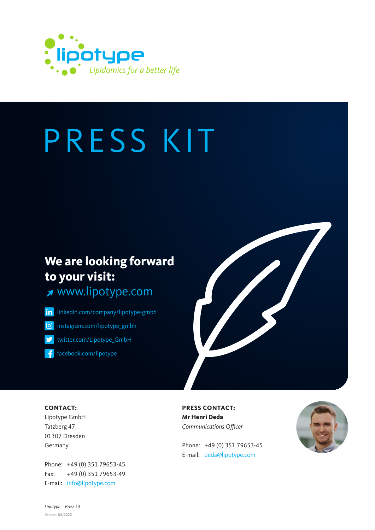

## **We are looking forward to your visit:**

<www.lipotype.com>

in [linkedin.com/company/lipotype-gmbh](https://www.linkedin.com/company/lipotype/) [instagram.com/lipotype\\_gmbh](https://www.instagram.com/lipotype_gmbh/) ල

[twitter.com/Lipotype\\_GmbH](https://twitter.com/lipotype_gmbh)

[facebook.com/lipotype](https://de-de.facebook.com/lipotype/)



#### **CONTACT:**

Lipotype GmbH Tatzberg 47 01307 Dresden Germany

Phone: [+49 \(0\) 351 79653-45](tel:00493517965345) Fax: [+49 \(0\) 351 79653-49](tel:00493517965349) E-mail: info@lipotype.com

**PRESS CONTACT: Mr Henri Deda** Communications Officer

Phone: [+49 \(0\) 351 79653-45](tel:00493517965345) E-mail: deda@lipotype.com

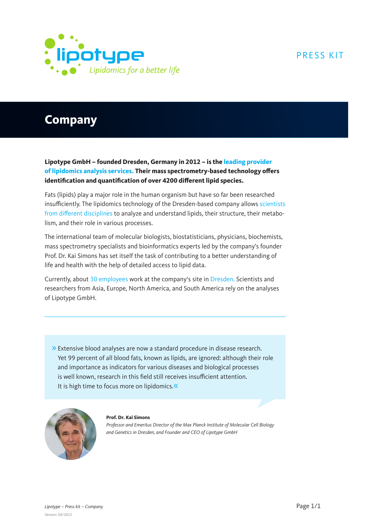

## **Company**

**Lipotype GmbH – founded Dresden, Germany in 2012 – is the leading provider of lipidomics analysis services. Their mass spectrometry-based technology offers identification and quantification of over 4200 different lipid species.**

Fats (lipids) play a major role in the human organism but have so far been researched insufficiently. The lipidomics technology of the Dresden-based company allows scientists from different disciplines to analyze and understand lipids, their structure, their metabolism, and their role in various processes.

The international team of molecular biologists, biostatisticians, physicians, biochemists, mass spectrometry specialists and bioinformatics experts led by the company's founder Prof. Dr. Kai Simons has set itself the task of contributing to a better understanding of life and health with the help of detailed access to lipid data.

Currently, about 30 employees work at the company's site in Dresden. Scientists and researchers from Asia, Europe, North America, and South America rely on the analyses of Lipotype GmbH.

» Extensive blood analyses are now a standard procedure in disease research. Yet 99 percent of all blood fats, known as lipids, are ignored: although their role and importance as indicators for various diseases and biological processes is well known, research in this field still receives insufficient attention. It is high time to focus more on lipidomics.«



**Prof. Dr. Kai Simons**

Professor and Emeritus Director of the Max Planck Institute of Molecular Cell Biology and Genetics in Dresden, and Founder and CEO of Lipotype GmbH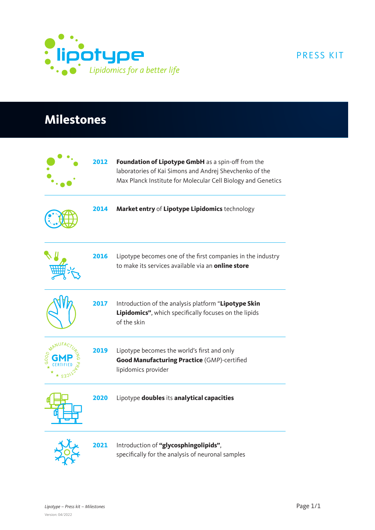

## **Milestones**

|      | 2012 | Foundation of Lipotype GmbH as a spin-off from the<br>laboratories of Kai Simons and Andrej Shevchenko of the<br>Max Planck Institute for Molecular Cell Biology and Genetics |
|------|------|-------------------------------------------------------------------------------------------------------------------------------------------------------------------------------|
|      | 2014 | Market entry of Lipotype Lipidomics technology                                                                                                                                |
|      | 2016 | Lipotype becomes one of the first companies in the industry<br>to make its services available via an online store                                                             |
|      | 2017 | Introduction of the analysis platform "Lipotype Skin<br>Lipidomics", which specifically focuses on the lipids<br>of the skin                                                  |
| GOOD | 2019 | Lipotype becomes the world's first and only<br>Good Manufacturing Practice (GMP)-certified<br>lipidomics provider                                                             |
|      | 2020 | Lipotype doubles its analytical capacities                                                                                                                                    |
|      | 2021 | Introduction of "glycosphingolipids",<br>specifically for the analysis of neuronal samples                                                                                    |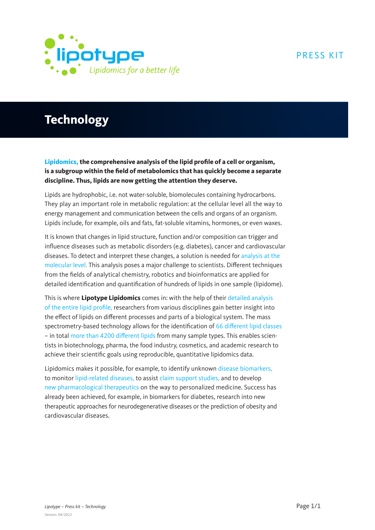

## **Technology**

**Lipidomics, the comprehensive analysis of the lipid profile of a cell or organism, is a subgroup within the field of metabolomics that has quickly become a separate discipline. Thus, lipids are now getting the attention they deserve.**

Lipids are hydrophobic, i.e. not water-soluble, biomolecules containing hydrocarbons. They play an important role in metabolic regulation: at the cellular level all the way to energy management and communication between the cells and organs of an organism. Lipids include, for example, oils and fats, fat-soluble vitamins, hormones, or even waxes.

It is known that changes in lipid structure, function and/or composition can trigger and influence diseases such as metabolic disorders (e.g. diabetes), cancer and cardiovascular diseases. To detect and interpret these changes, a solution is needed for analysis at the molecular level. This analysis poses a major challenge to scientists. Different techniques from the fields of analytical chemistry, robotics and bioinformatics are applied for detailed identification and quantification of hundreds of lipids in one sample (lipidome).

This is where **Lipotype Lipidomics** comes in: with the help of their detailed analysis of the entire lipid profile, researchers from various disciplines gain better insight into the effect of lipids on different processes and parts of a biological system. The mass spectrometry-based technology allows for the identification of 66 different lipid classes – in total more than 4200 different lipids from many sample types. This enables scientists in biotechnology, pharma, the food industry, cosmetics, and academic research to achieve their scientific goals using reproducible, quantitative lipidomics data.

Lipidomics makes it possible, for example, to identify unknown disease biomarkers, to monitor lipid-related diseases, to assist claim support studies, and to develop new pharmacological therapeutics on the way to personalized medicine. Success has already been achieved, for example, in biomarkers for diabetes, research into new therapeutic approaches for neurodegenerative diseases or the prediction of obesity and cardiovascular diseases.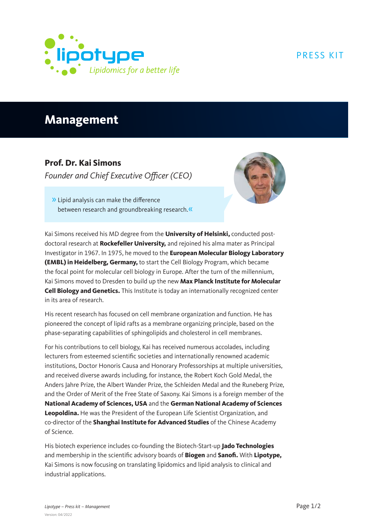

## **Management**

#### **Prof. Dr. Kai Simons**

Founder and Chief Executive Officer (CEO)



» Lipid analysis can make the difference between research and groundbreaking research.«

Kai Simons received his MD degree from the **University of Helsinki,** conducted postdoctoral research at **Rockefeller University,** and rejoined his alma mater as Principal Investigator in 1967. In 1975, he moved to the **European Molecular Biology Laboratory (EMBL) in Heidelberg, Germany,** to start the Cell Biology Program, which became the focal point for molecular cell biology in Europe. After the turn of the millennium, Kai Simons moved to Dresden to build up the new **Max Planck Institute for Molecular Cell Biology and Genetics.** This Institute is today an internationally recognized center in its area of research.

His recent research has focused on cell membrane organization and function. He has pioneered the concept of lipid rafts as a membrane organizing principle, based on the phase-separating capabilities of sphingolipids and cholesterol in cell membranes.

For his contributions to cell biology, Kai has received numerous accolades, including lecturers from esteemed scientific societies and internationally renowned academic institutions, Doctor Honoris Causa and Honorary Professorships at multiple universities, and received diverse awards including, for instance, the Robert Koch Gold Medal, the Anders Jahre Prize, the Albert Wander Prize, the Schleiden Medal and the Runeberg Prize, and the Order of Merit of the Free State of Saxony. Kai Simons is a foreign member of the **National Academy of Sciences, USA** and the **German National Academy of Sciences Leopoldina.** He was the President of the European Life Scientist Organization, and co-director of the **Shanghai Institute for Advanced Studies** of the Chinese Academy of Science.

His biotech experience includes co-founding the Biotech-Start-up **Jado Technologies** and membership in the scientific advisory boards of **Biogen** and **Sanofi.** With **Lipotype,**  Kai Simons is now focusing on translating lipidomics and lipid analysis to clinical and industrial applications.